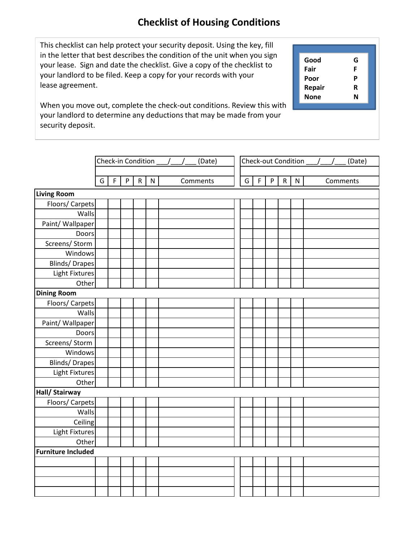## **Checklist of Housing Conditions**

This checklist can help protect your security deposit. Using the key, fill in the letter that best describes the condition of the unit when you sign your lease. Sign and date the checklist. Give a copy of the checklist to your landlord to be filed. Keep a copy for your records with your lease agreement.

**Good G Fair F Poor P Repair R None N**

When you move out, complete the check-out conditions. Review this with your landlord to determine any deductions that may be made from your security deposit.

|                           | Check-in Condition<br>(Date) |             |                           |              |           |  |  |          | Check-out Condition<br>(Date) |             |         |                |           |  |          |  |
|---------------------------|------------------------------|-------------|---------------------------|--------------|-----------|--|--|----------|-------------------------------|-------------|---------|----------------|-----------|--|----------|--|
|                           | G                            | $\mathsf F$ | $\boldsymbol{\mathsf{P}}$ | $\mathsf{R}$ | ${\sf N}$ |  |  | Comments | G                             | $\mathsf F$ | $\sf P$ | $\mathsf{R}^-$ | ${\sf N}$ |  | Comments |  |
| <b>Living Room</b>        |                              |             |                           |              |           |  |  |          |                               |             |         |                |           |  |          |  |
| Floors/ Carpets           |                              |             |                           |              |           |  |  |          |                               |             |         |                |           |  |          |  |
| Walls                     |                              |             |                           |              |           |  |  |          |                               |             |         |                |           |  |          |  |
| Paint/ Wallpaper          |                              |             |                           |              |           |  |  |          |                               |             |         |                |           |  |          |  |
| Doors                     |                              |             |                           |              |           |  |  |          |                               |             |         |                |           |  |          |  |
| Screens/ Storm            |                              |             |                           |              |           |  |  |          |                               |             |         |                |           |  |          |  |
| Windows                   |                              |             |                           |              |           |  |  |          |                               |             |         |                |           |  |          |  |
| <b>Blinds/Drapes</b>      |                              |             |                           |              |           |  |  |          |                               |             |         |                |           |  |          |  |
| Light Fixtures            |                              |             |                           |              |           |  |  |          |                               |             |         |                |           |  |          |  |
| Other                     |                              |             |                           |              |           |  |  |          |                               |             |         |                |           |  |          |  |
| <b>Dining Room</b>        |                              |             |                           |              |           |  |  |          |                               |             |         |                |           |  |          |  |
| Floors/ Carpets           |                              |             |                           |              |           |  |  |          |                               |             |         |                |           |  |          |  |
| Walls                     |                              |             |                           |              |           |  |  |          |                               |             |         |                |           |  |          |  |
| Paint/ Wallpaper          |                              |             |                           |              |           |  |  |          |                               |             |         |                |           |  |          |  |
| Doors                     |                              |             |                           |              |           |  |  |          |                               |             |         |                |           |  |          |  |
| Screens/ Storm            |                              |             |                           |              |           |  |  |          |                               |             |         |                |           |  |          |  |
| Windows                   |                              |             |                           |              |           |  |  |          |                               |             |         |                |           |  |          |  |
| <b>Blinds/Drapes</b>      |                              |             |                           |              |           |  |  |          |                               |             |         |                |           |  |          |  |
| <b>Light Fixtures</b>     |                              |             |                           |              |           |  |  |          |                               |             |         |                |           |  |          |  |
| Other                     |                              |             |                           |              |           |  |  |          |                               |             |         |                |           |  |          |  |
| Hall/ Stairway            |                              |             |                           |              |           |  |  |          |                               |             |         |                |           |  |          |  |
| Floors/ Carpets           |                              |             |                           |              |           |  |  |          |                               |             |         |                |           |  |          |  |
| Walls                     |                              |             |                           |              |           |  |  |          |                               |             |         |                |           |  |          |  |
| Ceiling                   |                              |             |                           |              |           |  |  |          |                               |             |         |                |           |  |          |  |
| <b>Light Fixtures</b>     |                              |             |                           |              |           |  |  |          |                               |             |         |                |           |  |          |  |
| Other                     |                              |             |                           |              |           |  |  |          |                               |             |         |                |           |  |          |  |
| <b>Furniture Included</b> |                              |             |                           |              |           |  |  |          |                               |             |         |                |           |  |          |  |
|                           |                              |             |                           |              |           |  |  |          |                               |             |         |                |           |  |          |  |
|                           |                              |             |                           |              |           |  |  |          |                               |             |         |                |           |  |          |  |
|                           |                              |             |                           |              |           |  |  |          |                               |             |         |                |           |  |          |  |
|                           |                              |             |                           |              |           |  |  |          |                               |             |         |                |           |  |          |  |